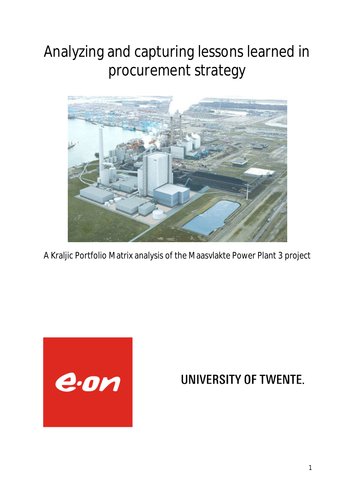# Analyzing and capturing lessons learned in procurement strategy



A Kraljic Portfolio Matrix analysis of the Maasvlakte Power Plant 3 project



## **UNIVERSITY OF TWENTE.**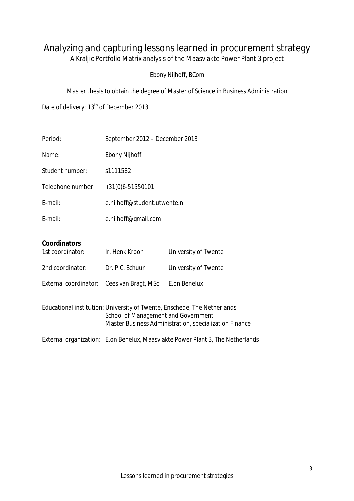### Analyzing and capturing lessons learned in procurement strategy

A Kraljic Portfolio Matrix analysis of the Maasvlakte Power Plant 3 project

#### *Ebony Nijhoff, BCom*

Master thesis to obtain the degree of Master of Science in Business Administration

Date of delivery: 13<sup>th</sup> of December 2013

| Period:                                                                                                                                                                   | September 2012 - December 2013                                                 |                                      |  |  |  |
|---------------------------------------------------------------------------------------------------------------------------------------------------------------------------|--------------------------------------------------------------------------------|--------------------------------------|--|--|--|
| Name:                                                                                                                                                                     | <b>Ebony Nijhoff</b>                                                           |                                      |  |  |  |
| Student number:                                                                                                                                                           | s1111582                                                                       |                                      |  |  |  |
| Telephone number:                                                                                                                                                         | +31(0)6-51550101                                                               |                                      |  |  |  |
| E-mail:                                                                                                                                                                   | e.nijhoff@student.utwente.nl                                                   |                                      |  |  |  |
| E-mail:                                                                                                                                                                   | e.nijhoff@gmail.com                                                            |                                      |  |  |  |
| <b>Coordinators</b><br>1st coordinator:                                                                                                                                   | Ir. Henk Kroon                                                                 | University of Twente                 |  |  |  |
| 2nd coordinator:<br>External coordinator:                                                                                                                                 | Dr. P.C. Schuur<br>Cees van Bragt, MSc                                         | University of Twente<br>E.on Benelux |  |  |  |
| Educational institution: University of Twente, Enschede, The Netherlands<br>School of Management and Government<br>Master Business Administration, specialization Finance |                                                                                |                                      |  |  |  |
|                                                                                                                                                                           | External organization: E.on Benelux, Maasvlakte Power Plant 3, The Netherlands |                                      |  |  |  |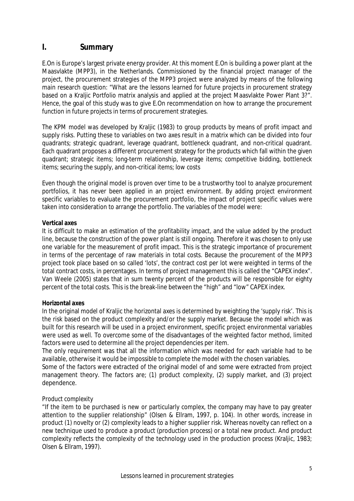#### **I. Summary**

E.On is Europe's largest private energy provider. At this moment E.On is building a power plant at the Maasvlakte (MPP3), in the Netherlands. Commissioned by the financial project manager of the project, the procurement strategies of the MPP3 project were analyzed by means of the following main research question: "What are the lessons learned for future projects in procurement strategy based on a Kraljic Portfolio matrix analysis and applied at the project Maasvlakte Power Plant 3?". Hence, the goal of this study was to give E.On recommendation on how to arrange the procurement function in future projects in terms of procurement strategies.

The KPM model was developed by Kraljic (1983) to group products by means of profit impact and supply risks. Putting these to variables on two axes result in a matrix which can be divided into four quadrants; strategic quadrant, leverage quadrant, bottleneck quadrant, and non-critical quadrant. Each quadrant proposes a different procurement strategy for the products which fall within the given quadrant; strategic items; long-term relationship, leverage items; competitive bidding, bottleneck items; securing the supply, and non-critical items; low costs

Even though the original model is proven over time to be a trustworthy tool to analyze procurement portfolios, it has never been applied in an project environment. By adding project environment specific variables to evaluate the procurement portfolio, the impact of project specific values were taken into consideration to arrange the portfolio. The variables of the model were:

#### **Vertical axes**

It is difficult to make an estimation of the profitability impact, and the value added by the product line, because the construction of the power plant is still ongoing. Therefore it was chosen to only use one variable for the measurement of profit impact. This is the strategic importance of procurement in terms of the percentage of raw materials in total costs. Because the procurement of the MPP3 project took place based on so called 'lots', the contract cost per lot were weighted in terms of the total contract costs, in percentages. In terms of project management this is called the "CAPEX index". Van Weele (2005) states that in sum twenty percent of the products will be responsible for eighty percent of the total costs. This is the break-line between the "high" and "low" CAPEX index.

#### **Horizontal axes**

In the original model of Kraljic the horizontal axes is determined by weighting the 'supply risk'. This is the risk based on the product complexity and/or the supply market. Because the model which was built for this research will be used in a project environment, specific project environmental variables were used as well. To overcome some of the disadvantages of the weighted factor method, limited factors were used to determine all the project dependencies per item.

The only requirement was that all the information which was needed for each variable had to be available, otherwise it would be impossible to complete the model with the chosen variables.

Some of the factors were extracted of the original model of and some were extracted from project management theory. The factors are; (1) product complexity, (2) supply market, and (3) project dependence.

#### *Product complexity*

"If the item to be purchased is new or particularly complex, the company may have to pay greater attention to the supplier relationship" (Olsen & Ellram, 1997, p. 104). In other words, increase in product (1) novelty or (2) complexity leads to a higher supplier risk. Whereas novelty can reflect on a new technique used to produce a product (production process) or a total new product. And product complexity reflects the complexity of the technology used in the production process (Kraljic, 1983; Olsen & Ellram, 1997).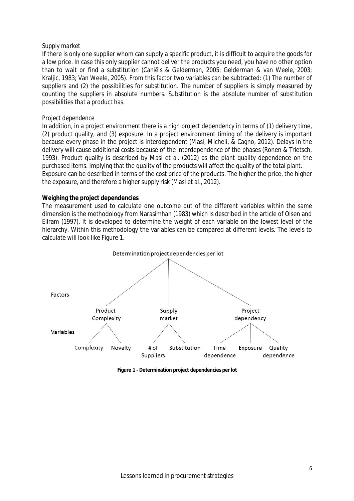#### *Supply market*

If there is only one supplier whom can supply a specific product, it is difficult to acquire the goods for a low price. In case this only supplier cannot deliver the products you need, you have no other option than to wait or find a substitution (Caniëls & Gelderman, 2005; Gelderman & van Weele, 2003; Kraljic, 1983; Van Weele, 2005). From this factor two variables can be subtracted: (1) The number of suppliers and (2) the possibilities for substitution. The number of suppliers is simply measured by counting the suppliers in absolute numbers. Substitution is the absolute number of substitution possibilities that a product has.

#### *Project dependence*

In addition, in a project environment there is a high project dependency in terms of (1) delivery time, (2) product quality, and (3) exposure. In a project environment timing of the delivery is important because every phase in the project is interdependent (Masi, Micheli, & Cagno, 2012). Delays in the delivery will cause additional costs because of the interdependence of the phases (Ronen & Trietsch, 1993). Product quality is described by Masi et al. (2012) as the plant quality dependence on the purchased items. Implying that the quality of the products will affect the quality of the total plant. Exposure can be described in terms of the cost price of the products. The higher the price, the higher the exposure, and therefore a higher supply risk (Masi et al., 2012).

#### **Weighing the project dependencies**

The measurement used to calculate one outcome out of the different variables within the same dimension is the methodology from Narasimhan (1983) which is described in the article of Olsen and Ellram (1997). It is developed to determine the weight of each variable on the lowest level of the hierarchy. Within this methodology the variables can be compared at different levels. The levels to calculate will look like Figure 1.



**Figure 1 - Determination project dependencies per lot**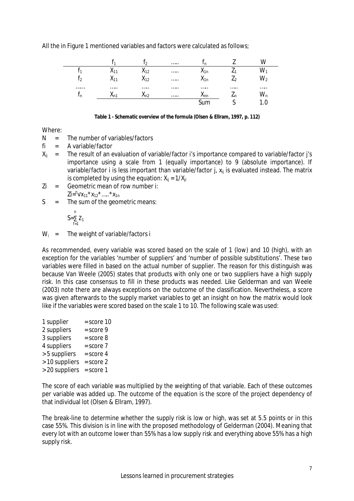All the in Figure 1 mentioned variables and factors were calculated as follows;

|    |                             | ຳ                 | <br>'n           |    |     |
|----|-----------------------------|-------------------|------------------|----|-----|
|    |                             | $\mathsf{A}_{12}$ | <br>$A_{1n}$     |    |     |
| ി  | $^{\prime}$ $\cdot$ $\cdot$ | $\mathsf{A}_{12}$ | <br>$A_{1n}$     |    | vvว |
|    |                             |                   | <br>             |    |     |
| ιn | ∧n′                         | An?<br>1 I.Z      | <br>$\lambda$ nn | ←n | vvn |
|    |                             |                   |                  |    |     |

Where:

- $N =$  The number of variables/factors
- fi = A variable/factor
- $X_{ii}$  = The result of an evaluation of variable/factor i's importance compared to variable/factor j's importance using a scale from 1 (equally importance) to 9 (absolute importance). If variable/factor i is less important than variable/factor  $j$ ,  $x_{ii}$  is evaluated instead. The matrix is completed by using the equation:  $X_{ii} = 1/X_{ii}$
- Zi = Geometric mean of row number i:  $\mathsf{Zi} = \mathsf{Y} \mathsf{X}_{11} \cdot \mathsf{X}_{12} \cdot \dots \cdot \mathsf{X}_{1n}$
- $S =$  The sum of the geometric means:

$$
S=\sum_{f=1}^n Z_1
$$

 $W_i$  = The weight of variable/factors i

As recommended, every variable was scored based on the scale of 1 (low) and 10 (high), with an exception for the variables 'number of suppliers' and 'number of possible substitutions'. These two variables were filled in based on the actual number of supplier. The reason for this distinguish was because Van Weele (2005) states that products with only one or two suppliers have a high supply risk. In this case consensus to fill in these products was needed. Like Gelderman and van Weele (2003) note there are always exceptions on the outcome of the classification. Nevertheless, a score was given afterwards to the supply market variables to get an insight on how the matrix would look like if the variables were scored based on the scale 1 to 10. The following scale was used:

| 1 supplier     | $=$ score 10  |
|----------------|---------------|
| 2 suppliers    | $=$ score $9$ |
| 3 suppliers    | $=$ score $8$ |
| 4 suppliers    | $=$ score $7$ |
| > 5 suppliers  | $=$ score 4   |
| > 10 suppliers | $=$ score $2$ |
| > 20 suppliers | $=$ score 1   |
|                |               |

The score of each variable was multiplied by the weighting of that variable. Each of these outcomes per variable was added up. The outcome of the equation is the score of the project dependency of that individual lot (Olsen & Ellram, 1997).

The break-line to determine whether the supply risk is low or high, was set at 5.5 points or in this case 55%. This division is in line with the proposed methodology of Gelderman (2004). Meaning that every lot with an outcome lower than 55% has a low supply risk and everything above 55% has a high supply risk.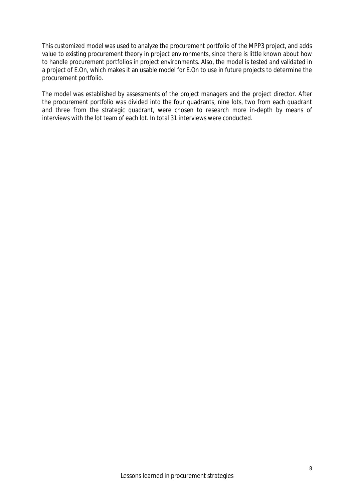This customized model was used to analyze the procurement portfolio of the MPP3 project, and adds value to existing procurement theory in project environments, since there is little known about how to handle procurement portfolios in project environments. Also, the model is tested and validated in a project of E.On, which makes it an usable model for E.On to use in future projects to determine the procurement portfolio.

The model was established by assessments of the project managers and the project director. After the procurement portfolio was divided into the four quadrants, nine lots, two from each quadrant and three from the strategic quadrant, were chosen to research more in-depth by means of interviews with the lot team of each lot. In total 31 interviews were conducted.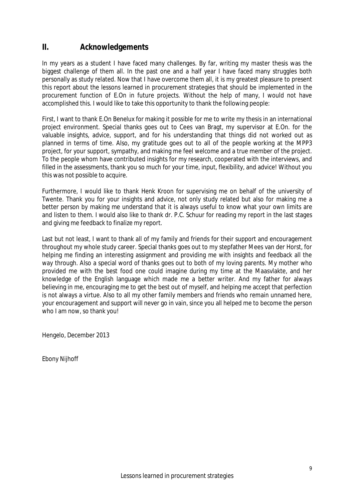#### **II. Acknowledgements**

In my years as a student I have faced many challenges. By far, writing my master thesis was the biggest challenge of them all. In the past one and a half year I have faced many struggles both personally as study related. Now that I have overcome them all, it is my greatest pleasure to present this report about the lessons learned in procurement strategies that should be implemented in the procurement function of E.On in future projects. Without the help of many, I would not have accomplished this. I would like to take this opportunity to thank the following people:

First, I want to thank E.On Benelux for making it possible for me to write my thesis in an international project environment. Special thanks goes out to Cees van Bragt, my supervisor at E.On. for the valuable insights, advice, support, and for his understanding that things did not worked out as planned in terms of time. Also, my gratitude goes out to all of the people working at the MPP3 project, for your support, sympathy, and making me feel welcome and a true member of the project. To the people whom have contributed insights for my research, cooperated with the interviews, and filled in the assessments, thank you so much for your time, input, flexibility, and advice! Without you this was not possible to acquire.

Furthermore, I would like to thank Henk Kroon for supervising me on behalf of the university of Twente. Thank you for your insights and advice, not only study related but also for making me a better person by making me understand that it is always useful to know what your own limits are and listen to them. I would also like to thank dr. P.C. Schuur for reading my report in the last stages and giving me feedback to finalize my report.

Last but not least, I want to thank all of my family and friends for their support and encouragement throughout my whole study career. Special thanks goes out to my stepfather Mees van der Horst, for helping me finding an interesting assignment and providing me with insights and feedback all the way through. Also a special word of thanks goes out to both of my loving parents. My mother who provided me with the best food one could imagine during my time at the Maasvlakte, and her knowledge of the English language which made me a better writer. And my father for always believing in me, encouraging me to get the best out of myself, and helping me accept that perfection is not always a virtue. Also to all my other family members and friends who remain unnamed here, your encouragement and support will never go in vain, since you all helped me to become the person who I am now, so thank you!

Hengelo, December 2013

Ebony Nijhoff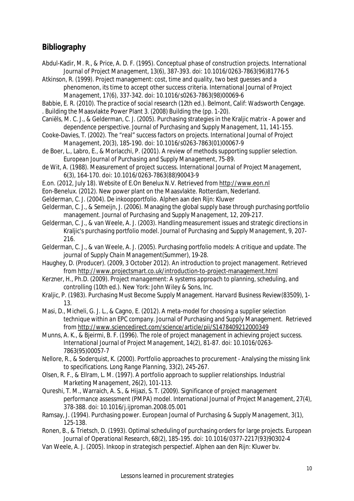#### **Bibliography**

- Abdul-Kadir, M. R., & Price, A. D. F. (1995). Conceptual phase of construction projects. *International Journal of Project Management, 13*(6), 387-393. doi: 10.1016/0263-7863(96)81776-5
- Atkinson, R. (1999). Project management: cost, time and quality, two best guesses and a phenomenon, its time to accept other success criteria. *International Journal of Project Management, 17*(6), 337-342. doi: 10.1016/s0263-7863(98)00069-6
- Babbie, E. R. (2010). *The practice of social research* (12th ed.). Belmont, Calif: Wadsworth Cengage. . Building the Maasvlakte Power Plant 3. (2008) *Building the* (pp. 1-20).
- Caniëls, M. C. J., & Gelderman, C. J. (2005). Purchasing strategies in the Kraljic matrix A power and dependence perspective. *Journal of Purchasing and Supply Management, 11*, 141-155.
- Cooke-Davies, T. (2002). The "real" success factors on projects. *International Journal of Project Management, 20*(3), 185-190. doi: 10.1016/s0263-7863(01)00067-9
- de Boer, L., Labro, E., & Morlacchi, P. (2001). A review of methods supporting supplier selection. *European Journal of Purchasing and Supply Management*, 75-89.
- de Wit, A. (1988). Measurement of project success. *International Journal of Project Management, 6*(3), 164-170. doi: 10.1016/0263-7863(88)90043-9
- E.on. (2012, July 18). *Website of E.On Benelux N.V.* Retrieved from http://www.eon.nl
- Eon-Benelux. (2012). New power plant on the Maasvlakte. Rotterdam, Nederland.
- Gelderman, C. J. (2004). *De inkoopportfolio*. Alphen aan den Rijn: Kluwer
- Gelderman, C. J., & Semeijn, J. (2006). Managing the global supply base through purchasing portfolio management. *Journal of Purchasing and Supply Management, 12*, 209-217.
- Gelderman, C. J., & van Weele, A. J. (2003). Handling measurement issues and strategic directions in Kraljic's purchasing portfolio model. *Journal of Purchasing and Supply Management, 9*, 207- 216.
- Gelderman, C. J., & van Weele, A. J. (2005). Purchasing portfolio models: A critique and update. *The journal of Supply Chain Management*(Summer), 19-28.
- Haughey, D. (Producer). (2009, 3 October 2012). An introduction to project management. Retrieved from http://www.projectsmart.co.uk/introduction-to-project-management.html
- Kerzner, H., Ph.D. (2009). *Project management: A systems approach to planning, scheduling, and controlling* (10th ed.). New York: John Wiley & Sons, Inc.
- Kraljic, P. (1983). Purchasing Must Become Supply Management. *Harvard Business Review*(83509), 1- 13.
- Masi, D., Micheli, G. J. L., & Cagno, E. (2012). *A meta-model for choosing a supplier selection technique within an EPC company*. Journal of Purchasing and Supply Management. Retrieved from http://www.sciencedirect.com/science/article/pii/S1478409212000349
- Munns, A. K., & Bjeirmi, B. F. (1996). The role of project management in achieving project success. *International Journal of Project Management, 14*(2), 81-87. doi: 10.1016/0263- 7863(95)00057-7
- Nellore, R., & Soderquist, K. (2000). Portfolio approaches to procurement Analysing the missing link to specifications. *Long Range Planning, 33*(2), 245-267.
- Olsen, R. F., & Ellram, L. M. (1997). A portfolio approach to supplier relationships. *Industrial Marketing Management, 26*(2), 101-113.
- Qureshi, T. M., Warraich, A. S., & Hijazi, S. T. (2009). Significance of project management performance assessment (PMPA) model. *International Journal of Project Management, 27*(4), 378-388. doi: 10.1016/j.ijproman.2008.05.001
- Ramsay, J. (1994). Purchasing power. *European Journal of Purchasing & Supply Management, 3*(1), 125-138.
- Ronen, B., & Trietsch, D. (1993). Optimal scheduling of purchasing orders for large projects. *European Journal of Operational Research, 68*(2), 185-195. doi: 10.1016/0377-2217(93)90302-4
- Van Weele, A. J. (2005). *Inkoop in strategisch perspectief*. Alphen aan den Rijn: Kluwer bv.